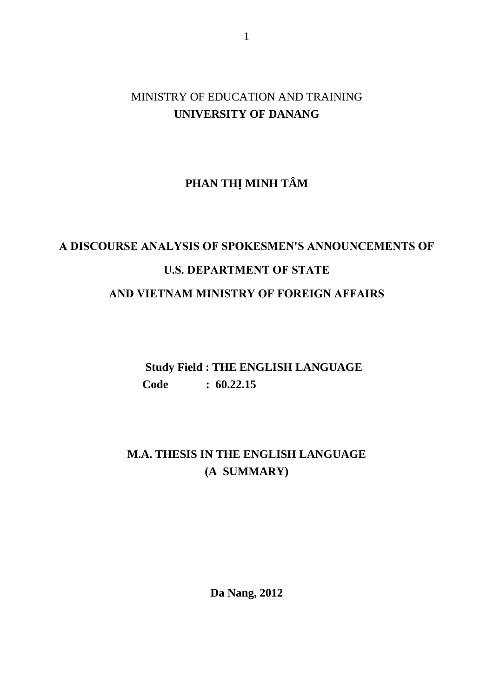## MINISTRY OF EDUCATION AND TRAINING **UNIVERSITY OF DANANG**

# **PHAN THỊ MINH TÂM**

# **A DISCOURSE ANALYSIS OF SPOKESMEN'S ANNOUNCEMENTS OF U.S. DEPARTMENT OF STATE AND VIETNAM MINISTRY OF FOREIGN AFFAIRS**

 **Study Field : THE ENGLISH LANGUAGE Code : 60.22.15** 

# **M.A. THESIS IN THE ENGLISH LANGUAGE (A SUMMARY)**

**Da Nang, 2012**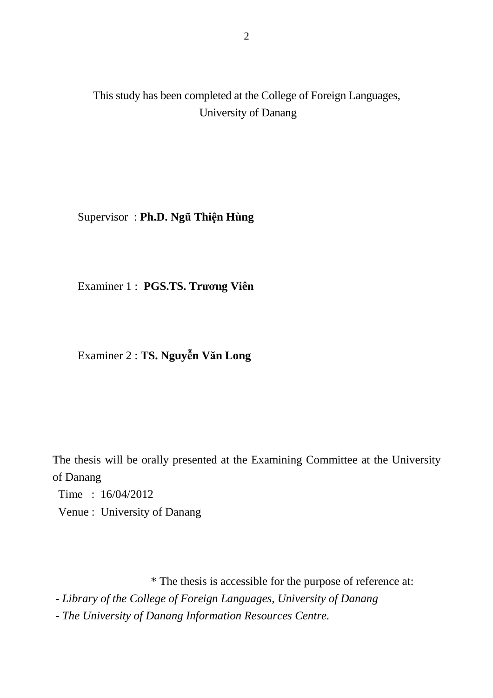This study has been completed at the College of Foreign Languages, University of Danang

Supervisor : **Ph.D. Ngũ Thiện Hùng** 

Examiner 1 : **PGS.TS. Trương Viên** 

Examiner 2 : **TS. Nguyễn Văn Long** 

The thesis will be orally presented at the Examining Committee at the University of Danang

Time : 16/04/2012

Venue : University of Danang

\* The thesis is accessible for the purpose of reference at:

 *- Library of the College of Foreign Languages, University of Danang* 

 *- The University of Danang Information Resources Centre.*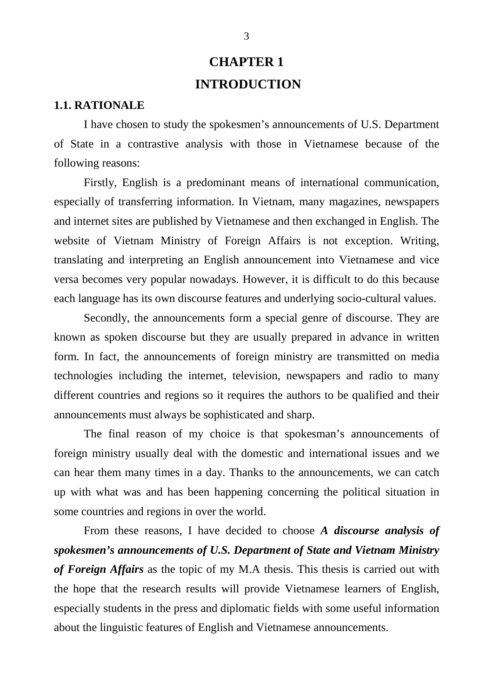# **CHAPTER 1 INTRODUCTION**

### **1.1. RATIONALE**

I have chosen to study the spokesmen's announcements of U.S. Department of State in a contrastive analysis with those in Vietnamese because of the following reasons:

Firstly, English is a predominant means of international communication, especially of transferring information. In Vietnam, many magazines, newspapers and internet sites are published by Vietnamese and then exchanged in English. The website of Vietnam Ministry of Foreign Affairs is not exception. Writing, translating and interpreting an English announcement into Vietnamese and vice versa becomes very popular nowadays. However, it is difficult to do this because each language has its own discourse features and underlying socio-cultural values.

Secondly, the announcements form a special genre of discourse. They are known as spoken discourse but they are usually prepared in advance in written form. In fact, the announcements of foreign ministry are transmitted on media technologies including the internet, television, newspapers and radio to many different countries and regions so it requires the authors to be qualified and their announcements must always be sophisticated and sharp.

The final reason of my choice is that spokesman's announcements of foreign ministry usually deal with the domestic and international issues and we can hear them many times in a day. Thanks to the announcements, we can catch up with what was and has been happening concerning the political situation in some countries and regions in over the world.

From these reasons, I have decided to choose *A discourse analysis of spokesmen's announcements of U.S. Department of State and Vietnam Ministry of Foreign Affairs* as the topic of my M.A thesis. This thesis is carried out with the hope that the research results will provide Vietnamese learners of English, especially students in the press and diplomatic fields with some useful information about the linguistic features of English and Vietnamese announcements.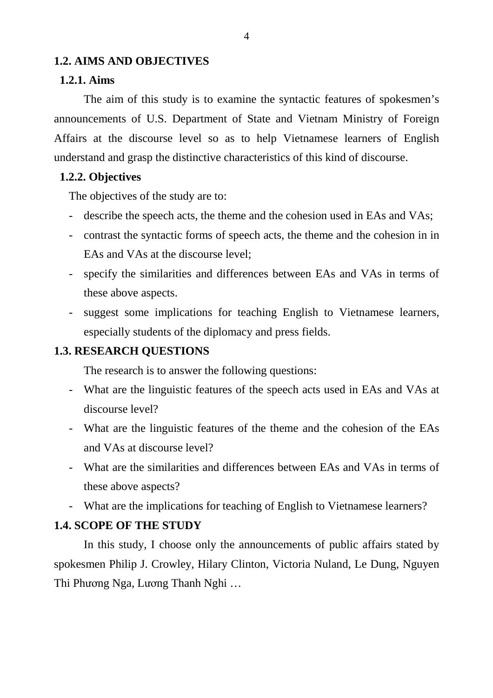### **1.2. AIMS AND OBJECTIVES**

### **1.2.1. Aims**

The aim of this study is to examine the syntactic features of spokesmen's announcements of U.S. Department of State and Vietnam Ministry of Foreign Affairs at the discourse level so as to help Vietnamese learners of English understand and grasp the distinctive characteristics of this kind of discourse.

### **1.2.2. Objectives**

The objectives of the study are to:

- describe the speech acts, the theme and the cohesion used in EAs and VAs;
- contrast the syntactic forms of speech acts, the theme and the cohesion in in EAs and VAs at the discourse level;
- specify the similarities and differences between EAs and VAs in terms of these above aspects.
- suggest some implications for teaching English to Vietnamese learners, especially students of the diplomacy and press fields.

### **1.3. RESEARCH QUESTIONS**

The research is to answer the following questions:

- What are the linguistic features of the speech acts used in EAs and VAs at discourse level?
- What are the linguistic features of the theme and the cohesion of the EAs and VAs at discourse level?
- What are the similarities and differences between EAs and VAs in terms of these above aspects?
- What are the implications for teaching of English to Vietnamese learners?

### **1.4. SCOPE OF THE STUDY**

In this study, I choose only the announcements of public affairs stated by spokesmen Philip J. Crowley, Hilary Clinton, Victoria Nuland, Le Dung, Nguyen Thi Phương Nga, Lương Thanh Nghi …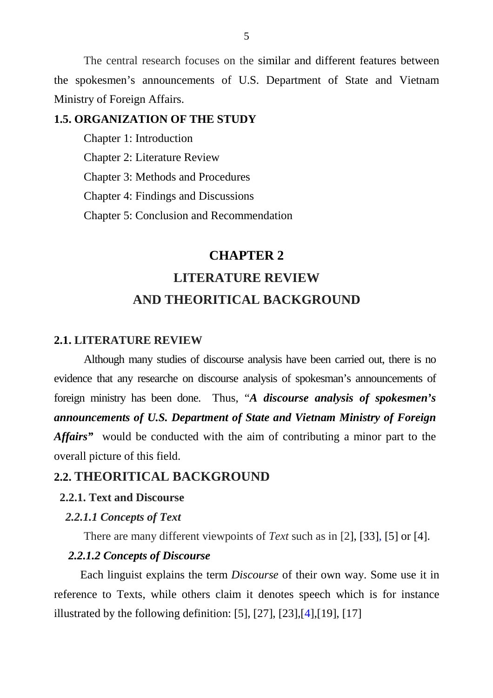The central research focuses on the similar and different features between the spokesmen's announcements of U.S. Department of State and Vietnam Ministry of Foreign Affairs.

### **1.5. ORGANIZATION OF THE STUDY**

Chapter 1: Introduction Chapter 2: Literature Review Chapter 3: Methods and Procedures Chapter 4: Findings and Discussions

Chapter 5: Conclusion and Recommendation

## **CHAPTER 2**

# **LITERATURE REVIEW AND THEORITICAL BACKGROUND**

### **2.1. LITERATURE REVIEW**

 Although many studies of discourse analysis have been carried out, there is no evidence that any researche on discourse analysis of spokesman's announcements of foreign ministry has been done. Thus, "*A discourse analysis of spokesmen's announcements of U.S. Department of State and Vietnam Ministry of Foreign Affairs"* would be conducted with the aim of contributing a minor part to the overall picture of this field.

## **2.2. THEORITICAL BACKGROUND**

### **2.2.1. Text and Discourse**

#### *2.2.1.1 Concepts of Text*

There are many different viewpoints of *Text* such as in [2], [33], [5] or [4].

### *2.2.1.2 Concepts of Discourse*

 Each linguist explains the term *Discourse* of their own way. Some use it in reference to Texts, while others claim it denotes speech which is for instance illustrated by the following definition: [5], [27], [23],  $[4]$ , [19], [17]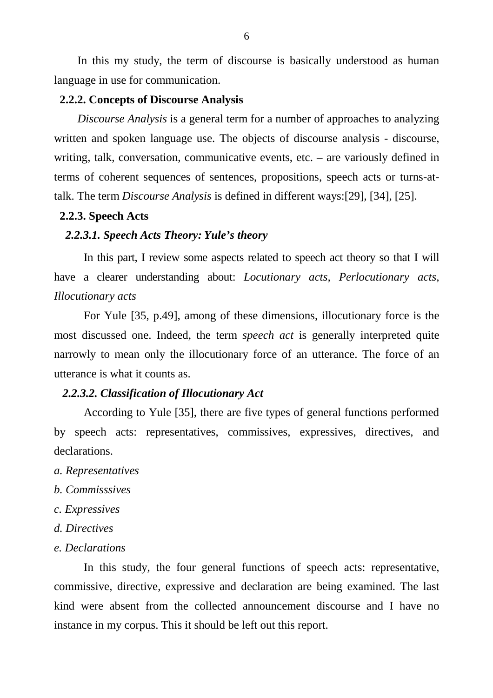In this my study, the term of discourse is basically understood as human language in use for communication.

### **2.2.2. Concepts of Discourse Analysis**

*Discourse Analysis* is a general term for a number of approaches to analyzing written and spoken language use. The objects of discourse analysis - discourse, writing, talk, conversation, communicative events, etc. – are variously defined in terms of coherent sequences of sentences, propositions, speech acts or turns-attalk. The term *Discourse Analysis* is defined in different ways:[29]*,* [34], [25].

### **2.2.3. Speech Acts**

### *2.2.3.1. Speech Acts Theory: Yule's theory*

In this part, I review some aspects related to speech act theory so that I will have a clearer understanding about: *Locutionary acts, Perlocutionary acts, Illocutionary acts* 

For Yule [35, p.49], among of these dimensions, illocutionary force is the most discussed one. Indeed, the term *speech act* is generally interpreted quite narrowly to mean only the illocutionary force of an utterance. The force of an utterance is what it counts as.

#### *2.2.3.2. Classification of Illocutionary Act*

According to Yule [35], there are five types of general functions performed by speech acts: representatives, commissives, expressives, directives, and declarations.

- *a. Representatives*
- *b. Commisssives*
- *c. Expressives*
- *d. Directives*
- *e. Declarations*

In this study, the four general functions of speech acts: representative, commissive, directive, expressive and declaration are being examined. The last kind were absent from the collected announcement discourse and I have no instance in my corpus. This it should be left out this report.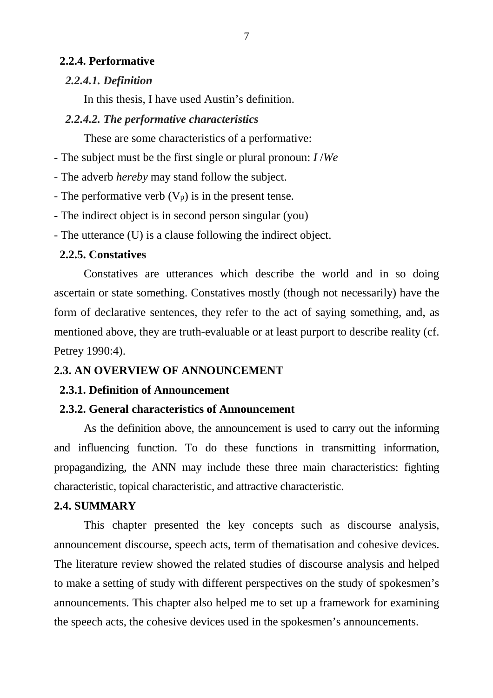### **2.2.4. Performative**

### *2.2.4.1. Definition*

In this thesis, I have used Austin's definition.

### *2.2.4.2. The performative characteristics*

These are some characteristics of a performative:

- The subject must be the first single or plural pronoun: *I* /*We*

- The adverb *hereby* may stand follow the subject.

- The performative verb  $(V_p)$  is in the present tense.

- The indirect object is in second person singular (you)

- The utterance (U) is a clause following the indirect object.

### **2.2.5. Constatives**

Constatives are utterances which describe the world and in so doing ascertain or state something. Constatives mostly (though not necessarily) have the form of declarative sentences, they refer to the act of saying something, and, as mentioned above, they are truth-evaluable or at least purport to describe reality (cf. Petrey 1990:4).

## **2.3. AN OVERVIEW OF ANNOUNCEMENT**

## **2.3.1. Definition of Announcement**

## **2.3.2. General characteristics of Announcement**

 As the definition above, the announcement is used to carry out the informing and influencing function. To do these functions in transmitting information, propagandizing, the ANN may include these three main characteristics: fighting characteristic, topical characteristic, and attractive characteristic.

## **2.4. SUMMARY**

This chapter presented the key concepts such as discourse analysis, announcement discourse, speech acts, term of thematisation and cohesive devices. The literature review showed the related studies of discourse analysis and helped to make a setting of study with different perspectives on the study of spokesmen's announcements. This chapter also helped me to set up a framework for examining the speech acts, the cohesive devices used in the spokesmen's announcements.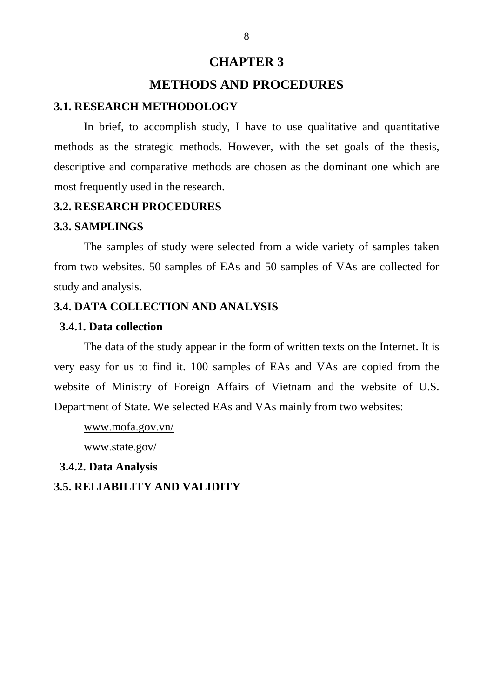## **CHAPTER 3**

## **METHODS AND PROCEDURES**

### **3.1. RESEARCH METHODOLOGY**

In brief, to accomplish study, I have to use qualitative and quantitative methods as the strategic methods. However, with the set goals of the thesis, descriptive and comparative methods are chosen as the dominant one which are most frequently used in the research.

### **3.2. RESEARCH PROCEDURES**

### **3.3. SAMPLINGS**

The samples of study were selected from a wide variety of samples taken from two websites. 50 samples of EAs and 50 samples of VAs are collected for study and analysis.

## **3.4. DATA COLLECTION AND ANALYSIS**

### **3.4.1. Data collection**

The data of the study appear in the form of written texts on the Internet. It is very easy for us to find it. 100 samples of EAs and VAs are copied from the website of Ministry of Foreign Affairs of Vietnam and the website of U.S. Department of State. We selected EAs and VAs mainly from two websites:

www.mofa.gov.vn/

www.state.gov/

 **3.4.2. Data Analysis** 

**3.5. RELIABILITY AND VALIDITY**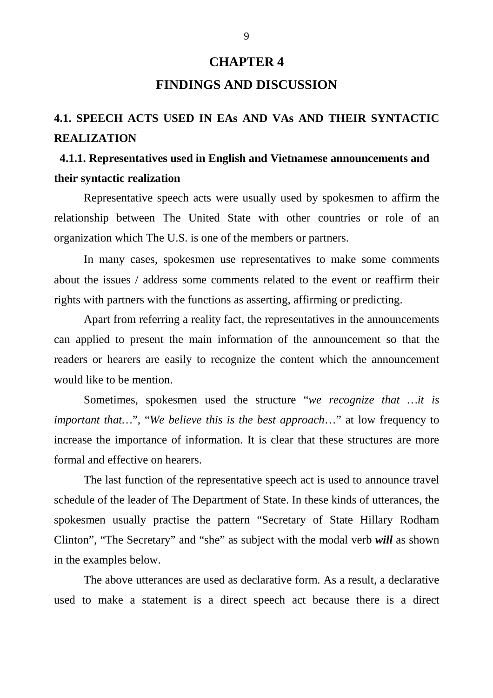# **CHAPTER 4 FINDINGS AND DISCUSSION**

# **4.1. SPEECH ACTS USED IN EAs AND VAs AND THEIR SYNTACTIC REALIZATION**

# **4.1.1. Representatives used in English and Vietnamese announcements and their syntactic realization**

Representative speech acts were usually used by spokesmen to affirm the relationship between The United State with other countries or role of an organization which The U.S. is one of the members or partners.

In many cases, spokesmen use representatives to make some comments about the issues / address some comments related to the event or reaffirm their rights with partners with the functions as asserting, affirming or predicting.

Apart from referring a reality fact, the representatives in the announcements can applied to present the main information of the announcement so that the readers or hearers are easily to recognize the content which the announcement would like to be mention.

Sometimes, spokesmen used the structure "*we recognize that …it is important that…*", "*We believe this is the best approach*…" at low frequency to increase the importance of information. It is clear that these structures are more formal and effective on hearers.

The last function of the representative speech act is used to announce travel schedule of the leader of The Department of State. In these kinds of utterances, the spokesmen usually practise the pattern "Secretary of State Hillary Rodham Clinton", "The Secretary" and "she" as subject with the modal verb *will* as shown in the examples below.

The above utterances are used as declarative form. As a result, a declarative used to make a statement is a direct speech act because there is a direct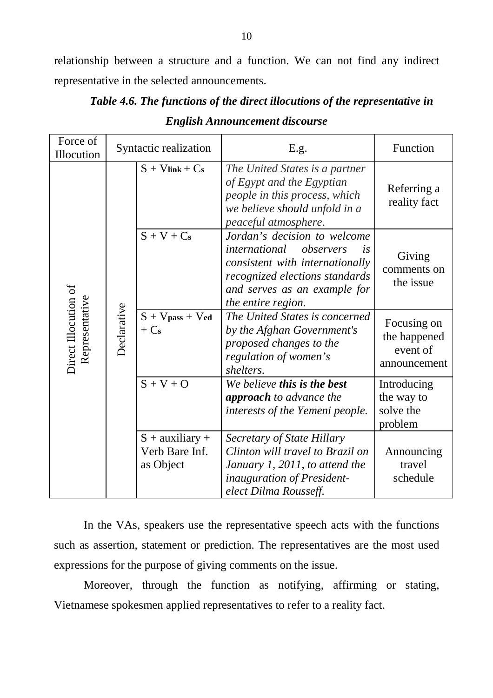relationship between a structure and a function. We can not find any indirect representative in the selected announcements.

| Force of<br>Illocution                 | Syntactic realization |                                                  | E.g.                                                                                                                                                                                                      | Function                                                |
|----------------------------------------|-----------------------|--------------------------------------------------|-----------------------------------------------------------------------------------------------------------------------------------------------------------------------------------------------------------|---------------------------------------------------------|
| Direct Illocution of<br>Representative |                       | $S + V$ link + $Cs$                              | The United States is a partner<br>of Egypt and the Egyptian<br>people in this process, which<br>we believe should unfold in a<br>peaceful atmosphere.                                                     | Referring a<br>reality fact                             |
|                                        |                       | $S + V + Cs$                                     | Jordan's decision to welcome<br>observers<br><i>international</i><br><i>is</i><br>consistent with internationally<br>recognized elections standards<br>and serves as an example for<br>the entire region. | Giving<br>comments on<br>the issue                      |
|                                        | Declarative           | $S + V$ pass + Ved<br>$+Cs$                      | The United States is concerned<br>by the Afghan Government's<br>proposed changes to the<br>regulation of women's<br>shelters.                                                                             | Focusing on<br>the happened<br>event of<br>announcement |
|                                        |                       | $S + V + O$                                      | We believe this is the best<br><b>approach</b> to advance the<br>interests of the Yemeni people.                                                                                                          | Introducing<br>the way to<br>solve the<br>problem       |
|                                        |                       | $S + auxiliary +$<br>Verb Bare Inf.<br>as Object | Secretary of State Hillary<br>Clinton will travel to Brazil on<br>January 1, 2011, to attend the<br><i>inauguration of President-</i><br>elect Dilma Rousseff.                                            | Announcing<br>travel<br>schedule                        |

*Table 4.6. The functions of the direct illocutions of the representative in English Announcement discourse* 

In the VAs, speakers use the representative speech acts with the functions such as assertion, statement or prediction. The representatives are the most used expressions for the purpose of giving comments on the issue.

Moreover, through the function as notifying, affirming or stating, Vietnamese spokesmen applied representatives to refer to a reality fact.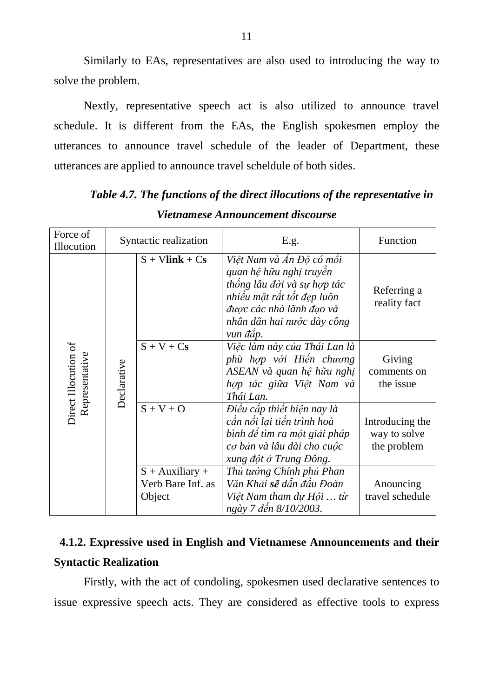Similarly to EAs, representatives are also used to introducing the way to solve the problem.

Nextly, representative speech act is also utilized to announce travel schedule. It is different from the EAs, the English spokesmen employ the utterances to announce travel schedule of the leader of Department, these utterances are applied to announce travel scheldule of both sides.

| Force of<br>Illocution                 |             | Syntactic realization                            | E.g.                                                                                                                                                                                   | Function                                       |
|----------------------------------------|-------------|--------------------------------------------------|----------------------------------------------------------------------------------------------------------------------------------------------------------------------------------------|------------------------------------------------|
|                                        |             | $S + Vlink + Cs$                                 | Việt Nam và Ấn Độ có mối<br>quan hệ hữu nghị truyền<br>thống lâu đời và sự hợp tác<br>nhiều mặt rất tốt đẹp luôn<br>được các nhà lãnh đạo và<br>nhân dân hai nước dày công<br>vun đắp. | Referring a<br>reality fact                    |
| Direct Illocution of<br>Representative | Declarative | $S + V + Cs$                                     | Việc làm này của Thái Lan là<br>phù hợp với Hiến chương<br>ASEAN và quan hệ hữu nghị<br>hợp tác giữa Việt Nam và<br>Thái Lan.                                                          | Giving<br>comments on<br>the issue             |
|                                        |             | $S + V + O$                                      | Điều cấp thiết hiện nay là<br>cần nổi lại tiến trình hoà<br>bình đề tìm ra một giải pháp<br>cơ bản và lâu dài cho cuộc<br>xung đột ở Trung Đông.                                       | Introducing the<br>way to solve<br>the problem |
|                                        |             | $S +$ Auxiliary +<br>Verb Bare Inf. as<br>Object | Thủ tướng Chính phủ Phan<br>Văn Khải s <b>ẽ</b> dẫn đầu Đoàn<br>Việt Nam tham dự Hội  từ<br>ngày 7 đến 8/10/2003.                                                                      | Anouncing<br>travel schedule                   |

*Table 4.7. The functions of the direct illocutions of the representative in Vietnamese Announcement discourse* 

# **4.1.2. Expressive used in English and Vietnamese Announcements and their Syntactic Realization**

 Firstly, with the act of condoling, spokesmen used declarative sentences to issue expressive speech acts. They are considered as effective tools to express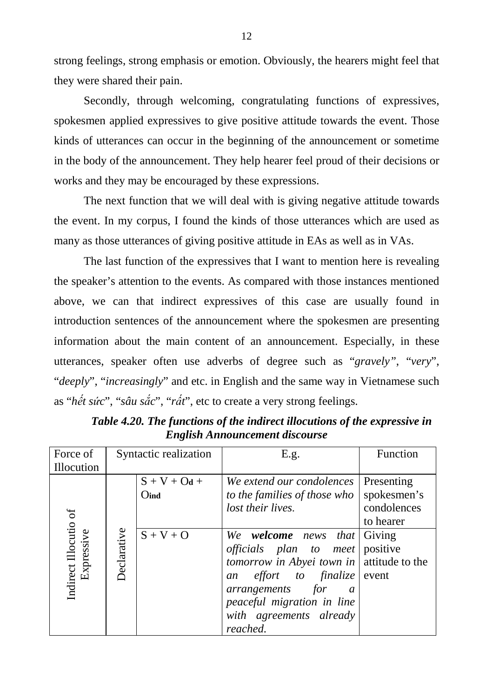strong feelings, strong emphasis or emotion. Obviously, the hearers might feel that they were shared their pain.

Secondly, through welcoming, congratulating functions of expressives, spokesmen applied expressives to give positive attitude towards the event. Those kinds of utterances can occur in the beginning of the announcement or sometime in the body of the announcement. They help hearer feel proud of their decisions or works and they may be encouraged by these expressions.

 The next function that we will deal with is giving negative attitude towards the event. In my corpus, I found the kinds of those utterances which are used as many as those utterances of giving positive attitude in EAs as well as in VAs.

 The last function of the expressives that I want to mention here is revealing the speaker's attention to the events. As compared with those instances mentioned above, we can that indirect expressives of this case are usually found in introduction sentences of the announcement where the spokesmen are presenting information about the main content of an announcement. Especially, in these utterances, speaker often use adverbs of degree such as "*gravely"*, "*very*", "*deeply*", "*increasingly*" and etc. in English and the same way in Vietnamese such as "*hết sức*", "*sâu sắc*", "*rất*", etc to create a very strong feelings.

| Force of              | Syntactic realization |                | E.g.                                              | Function    |
|-----------------------|-----------------------|----------------|---------------------------------------------------|-------------|
| Illocution            |                       |                |                                                   |             |
|                       |                       | $S + V + Od +$ | We extend our condolences                         | Presenting  |
|                       |                       | Oind           | to the families of those who                      | spokesmen's |
|                       |                       |                | lost their lives.                                 | condolences |
|                       |                       |                |                                                   | to hearer   |
| Expressive            | Declarative           | $S + V + O$    | We welcome news<br><i>that</i>                    | Giving      |
|                       |                       |                | <i>officials plan to meet</i>                     | positive    |
|                       |                       |                | tomorrow in Abyei town in $\vert$ attitude to the |             |
| Indirect Illocutio of |                       |                | <i>effort</i> to <i>finalize</i> event<br>an      |             |
|                       |                       |                | arrangements for<br>$\boldsymbol{a}$              |             |
|                       |                       |                | peaceful migration in line                        |             |
|                       |                       |                | with agreements already                           |             |
|                       |                       |                | reached.                                          |             |

*Table 4.20. The functions of the indirect illocutions of the expressive in English Announcement discourse*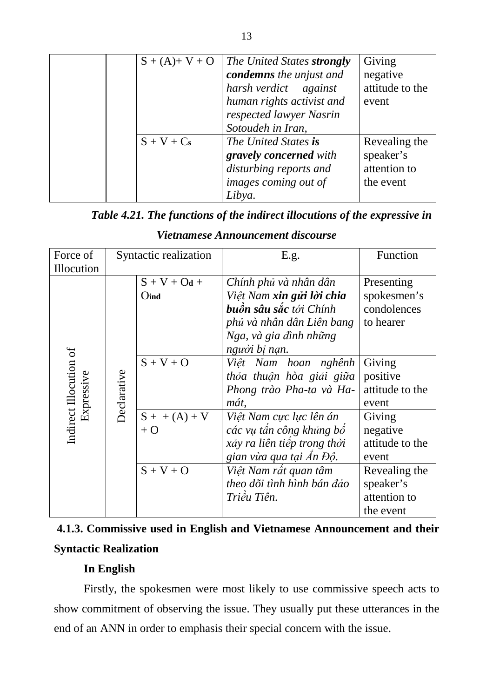|  | $S + (A) + V + O$ | The United States strongly | Giving          |
|--|-------------------|----------------------------|-----------------|
|  |                   | condemns the unjust and    | negative        |
|  |                   | harsh verdict against      | attitude to the |
|  |                   | human rights activist and  | event           |
|  |                   | respected lawyer Nasrin    |                 |
|  |                   | Sotoudeh in Iran,          |                 |
|  | $S + V + Cs$      | The United States is       | Revealing the   |
|  |                   | gravely concerned with     | speaker's       |
|  |                   | disturbing reports and     | attention to    |
|  |                   | images coming out of       | the event       |
|  |                   | Libya.                     |                 |

## *Table 4.21. The functions of the indirect illocutions of the expressive in*

| Force of               | Syntactic realization |                | E.g.                          | Function        |
|------------------------|-----------------------|----------------|-------------------------------|-----------------|
| Illocution             |                       |                |                               |                 |
|                        |                       | $S + V + Od +$ | Chính phủ và nhân dân         | Presenting      |
|                        |                       | Oind           | Việt Nam xin gửi lời chia     | spokesmen's     |
|                        |                       |                | <b>buồn sâu sắc</b> tới Chính | condolences     |
|                        |                       |                | phủ và nhân dân Liên bang     | to hearer       |
|                        |                       |                | Nga, và gia đình những        |                 |
|                        |                       |                | người bị nạn.                 |                 |
| Indirect Illocution of |                       | $S + V + O$    | Việt Nam hoan nghênh          | Giving          |
|                        |                       |                | thỏa thuận hòa giải giữa      | positive        |
| Expressive             | <b>Declarative</b>    |                | Phong trào Pha-ta và Ha-      | attitude to the |
|                        |                       |                | mát,                          | event           |
|                        |                       | $S + (A) + V$  | Việt Nam cực lực lên án       | Giving          |
|                        |                       | $+O$           | các vụ tấn công khủng bố      | negative        |
|                        |                       |                | xảy ra liên tiếp trong thời   | attitude to the |
|                        |                       |                | gian vừa qua tại Ấn Độ.       | event           |
|                        |                       | $S + V + O$    | Việt Nam rất quan tâm         | Revealing the   |
|                        |                       |                | theo dõi tình hình bán đảo    | speaker's       |
|                        |                       |                | Triều Tiên.                   | attention to    |
|                        |                       |                |                               | the event       |

## *Vietnamese Announcement discourse*

| 4.1.3. Commissive used in English and Vietnamese Announcement and their |  |  |
|-------------------------------------------------------------------------|--|--|
| <b>Syntactic Realization</b>                                            |  |  |

## **In English**

 Firstly, the spokesmen were most likely to use commissive speech acts to show commitment of observing the issue. They usually put these utterances in the end of an ANN in order to emphasis their special concern with the issue.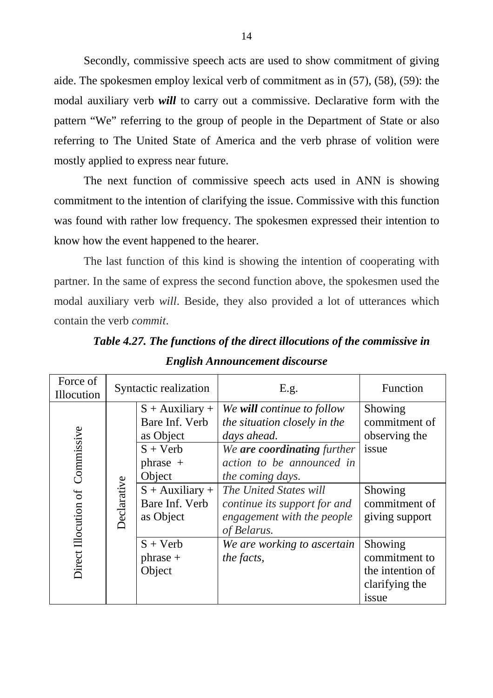Secondly, commissive speech acts are used to show commitment of giving aide. The spokesmen employ lexical verb of commitment as in (57), (58), (59): the modal auxiliary verb *will* to carry out a commissive. Declarative form with the pattern "We" referring to the group of people in the Department of State or also referring to The United State of America and the verb phrase of volition were mostly applied to express near future.

 The next function of commissive speech acts used in ANN is showing commitment to the intention of clarifying the issue. Commissive with this function was found with rather low frequency. The spokesmen expressed their intention to know how the event happened to the hearer.

The last function of this kind is showing the intention of cooperating with partner. In the same of express the second function above, the spokesmen used the modal auxiliary verb *will*. Beside, they also provided a lot of utterances which contain the verb *commit*.

| Force of<br>Illocution             | Syntactic realization |                                                                                                             | E.g.                                                                                                                                                                                | Function                                                                |
|------------------------------------|-----------------------|-------------------------------------------------------------------------------------------------------------|-------------------------------------------------------------------------------------------------------------------------------------------------------------------------------------|-------------------------------------------------------------------------|
| Commissive<br>Direct Illocution of |                       | $S +$ Auxiliary +<br>Bare Inf. Verb<br>as Object<br>$S + Verb$<br>$phrase +$<br>Object<br>$S +$ Auxiliary + | We will continue to follow<br>the situation closely in the<br>days ahead.<br>We are coordinating further<br>action to be announced in<br>the coming days.<br>The United States will | Showing<br>commitment of<br>observing the<br>issue<br>Showing           |
|                                    | <b>Declarative</b>    | Bare Inf. Verb<br>as Object                                                                                 | continue its support for and<br>engagement with the people<br>of Belarus.                                                                                                           | commitment of<br>giving support                                         |
|                                    |                       | $S + Verb$<br>$phrase +$<br>Object                                                                          | We are working to ascertain<br>the facts,                                                                                                                                           | Showing<br>commitment to<br>the intention of<br>clarifying the<br>issue |

*Table 4.27. The functions of the direct illocutions of the commissive in English Announcement discourse*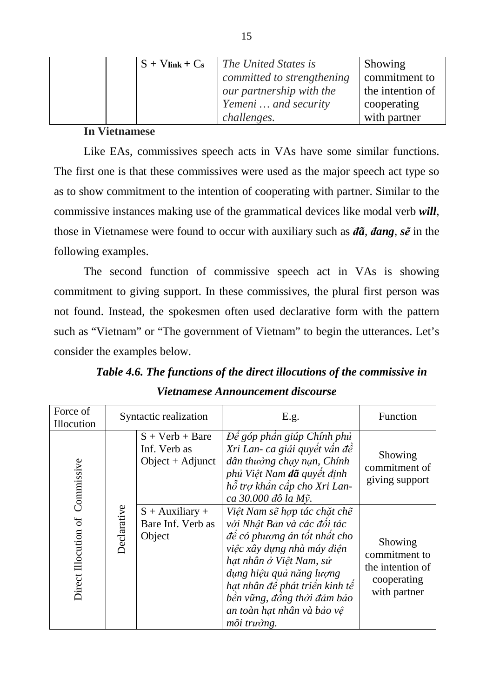|  | $S + V$ link + $Cs$ | The United States is       | Showing          |
|--|---------------------|----------------------------|------------------|
|  |                     | committed to strengthening | commitment to    |
|  |                     | our partnership with the   | the intention of |
|  |                     | Yemeni  and security       | cooperating      |
|  |                     | <i>challenges.</i>         | with partner     |

### **In Vietnamese**

Like EAs, commissives speech acts in VAs have some similar functions. The first one is that these commissives were used as the major speech act type so as to show commitment to the intention of cooperating with partner. Similar to the commissive instances making use of the grammatical devices like modal verb *will*, those in Vietnamese were found to occur with auxiliary such as *ñã*, *ñang*, *sẽ* in the following examples.

The second function of commissive speech act in VAs is showing commitment to giving support. In these commissives, the plural first person was not found. Instead, the spokesmen often used declarative form with the pattern such as "Vietnam" or "The government of Vietnam" to begin the utterances. Let's consider the examples below.

| Force of<br>Illocution | Syntactic realization |                                                      | E.g.                                                                                                                                                                                                                                                                                           | Function                                                                    |
|------------------------|-----------------------|------------------------------------------------------|------------------------------------------------------------------------------------------------------------------------------------------------------------------------------------------------------------------------------------------------------------------------------------------------|-----------------------------------------------------------------------------|
| Commissive             |                       | $S + Verb + B$<br>Inf. Verb as<br>$Object + Adjunct$ | Đề góp phần giúp Chính phủ<br>Xri Lan- ca giải quyết vấn đề<br>dân thường chạy nạn, Chính<br>phủ Việt Nam đã quyết định<br>hỗ trợ khẩn cấp cho Xri Lan-<br>ca 30.000 đô la Mỹ.                                                                                                                 | Showing<br>commitment of<br>giving support                                  |
| Direct Illocution of   | Declarative           | $S +$ Auxiliary +<br>Bare Inf. Verb as<br>Object     | Việt Nam sẽ hợp tác chặt chẽ<br>với Nhật Bản và các đối tác<br>để có phương án tốt nhất cho<br>việc xây dựng nhà máy điện<br>hạt nhân ở Việt Nam, sử<br>dụng hiệu quả năng lượng<br>hạt nhân để phát triển kinh tế<br>bền vững, đồng thời đảm bảo<br>an toàn hạt nhân và bảo vệ<br>môi trường. | Showing<br>commitment to<br>the intention of<br>cooperating<br>with partner |

*Table 4.6. The functions of the direct illocutions of the commissive in Vietnamese Announcement discourse*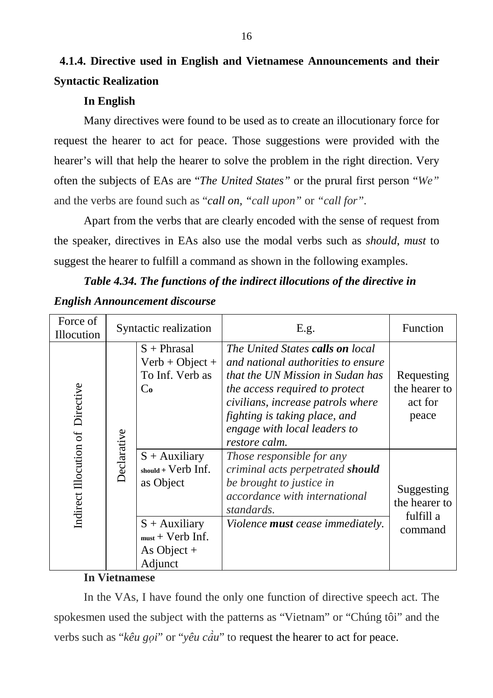# **4.1.4. Directive used in English and Vietnamese Announcements and their Syntactic Realization**

## **In English**

 Many directives were found to be used as to create an illocutionary force for request the hearer to act for peace. Those suggestions were provided with the hearer's will that help the hearer to solve the problem in the right direction. Very often the subjects of EAs are "*The United States"* or the prural first person "*We"* and the verbs are found such as "*call on, "call upon"* or *"call for".*

Apart from the verbs that are clearly encoded with the sense of request from the speaker, directives in EAs also use the modal verbs such as *should*, *must* to suggest the hearer to fulfill a command as shown in the following examples.

## *Table 4.34. The functions of the indirect illocutions of the directive in English Announcement discourse*

| Force of<br>Illocution           |             | Syntactic realization                                                                                                               | E.g.                                                                                                                                                                                                                                                                | Function                                            |
|----------------------------------|-------------|-------------------------------------------------------------------------------------------------------------------------------------|---------------------------------------------------------------------------------------------------------------------------------------------------------------------------------------------------------------------------------------------------------------------|-----------------------------------------------------|
|                                  |             | $S$ + Phrasal<br>$Verb + Object +$<br>To Inf. Verb as<br>Co                                                                         | The United States calls on local<br>and national authorities to ensure<br>that the UN Mission in Sudan has<br>the access required to protect<br>civilians, increase patrols where<br>fighting is taking place, and<br>engage with local leaders to<br>restore calm. | Requesting<br>the hearer to<br>act for<br>peace     |
| Indirect Illocution of Directive | Declarative | $S +$ Auxiliary<br>$should + Verb$ Inf.<br>as Object<br>$S +$ Auxiliary<br>$_{\text{must}}$ + Verb Inf.<br>As Object $+$<br>Adjunct | Those responsible for any<br>criminal acts perpetrated should<br>be brought to justice in<br><i>accordance with international</i><br>standards.<br>Violence <b>must</b> cease immediately.                                                                          | Suggesting<br>the hearer to<br>fulfill a<br>command |

## **In Vietnamese**

In the VAs, I have found the only one function of directive speech act. The spokesmen used the subject with the patterns as "Vietnam" or "Chúng tôi" and the verbs such as "*kêu gọi*" or "*yêu cầu*" to request the hearer to act for peace.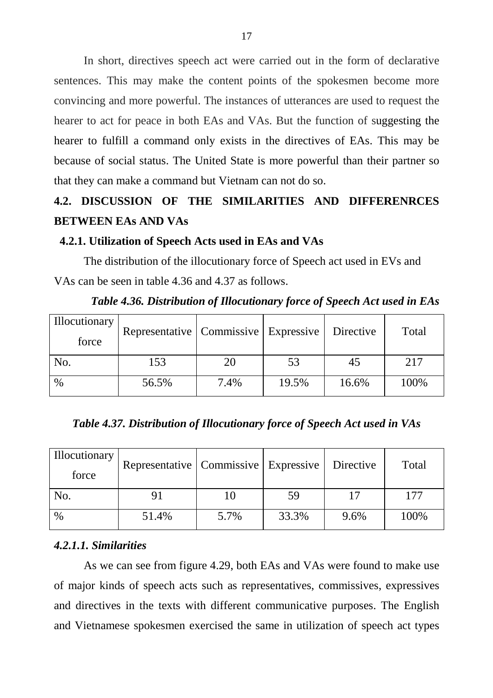In short, directives speech act were carried out in the form of declarative sentences. This may make the content points of the spokesmen become more convincing and more powerful. The instances of utterances are used to request the hearer to act for peace in both EAs and VAs. But the function of suggesting the hearer to fulfill a command only exists in the directives of EAs. This may be because of social status. The United State is more powerful than their partner so that they can make a command but Vietnam can not do so.

## **4.2. DISCUSSION OF THE SIMILARITIES AND DIFFERENRCES BETWEEN EAs AND VAs**

### **4.2.1. Utilization of Speech Acts used in EAs and VAs**

The distribution of the illocutionary force of Speech act used in EVs and VAs can be seen in table 4.36 and 4.37 as follows.

| <b>Illocutionary</b><br>force | Representative   Commissive   Expressive |      |       | Directive | Total |
|-------------------------------|------------------------------------------|------|-------|-----------|-------|
| No.                           | 153                                      | 20   | 53    | 45        | 217   |
| $\%$                          | 56.5%                                    | 7.4% | 19.5% | 16.6%     | 100%  |

*Table 4.36. Distribution of Illocutionary force of Speech Act used in EAs* 

*Table 4.37. Distribution of Illocutionary force of Speech Act used in VAs* 

| <b>Illocutionary</b><br>force | Representative   Commissive   Expressive |      |       | Directive | Total |
|-------------------------------|------------------------------------------|------|-------|-----------|-------|
| No.                           | 91                                       |      | 59    | 17        | 177   |
| $\%$                          | 51.4%                                    | 5.7% | 33.3% | 9.6%      | 100%  |

### *4.2.1.1. Similarities*

 As we can see from figure 4.29, both EAs and VAs were found to make use of major kinds of speech acts such as representatives, commissives, expressives and directives in the texts with different communicative purposes. The English and Vietnamese spokesmen exercised the same in utilization of speech act types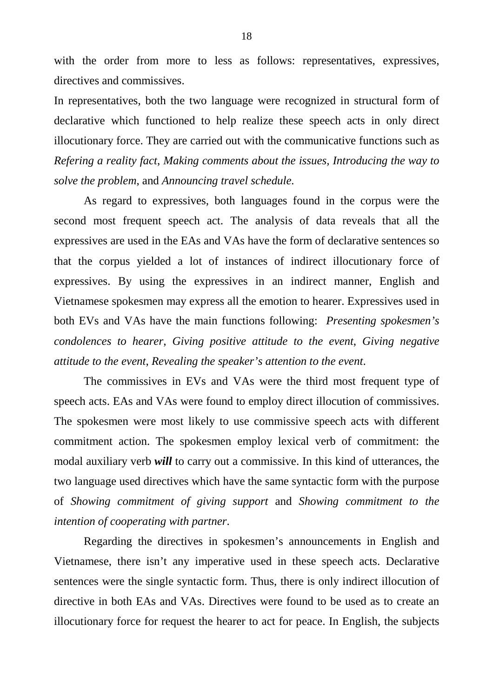with the order from more to less as follows: representatives, expressives, directives and commissives.

In representatives, both the two language were recognized in structural form of declarative which functioned to help realize these speech acts in only direct illocutionary force. They are carried out with the communicative functions such as *Refering a reality fact*, *Making comments about the issues, Introducing the way to solve the problem*, and *Announcing travel schedule.*

 As regard to expressives, both languages found in the corpus were the second most frequent speech act. The analysis of data reveals that all the expressives are used in the EAs and VAs have the form of declarative sentences so that the corpus yielded a lot of instances of indirect illocutionary force of expressives. By using the expressives in an indirect manner, English and Vietnamese spokesmen may express all the emotion to hearer. Expressives used in both EVs and VAs have the main functions following: *Presenting spokesmen's condolences to hearer*, *Giving positive attitude to the event*, *Giving negative attitude to the event*, *Revealing the speaker's attention to the event*.

The commissives in EVs and VAs were the third most frequent type of speech acts. EAs and VAs were found to employ direct illocution of commissives. The spokesmen were most likely to use commissive speech acts with different commitment action. The spokesmen employ lexical verb of commitment: the modal auxiliary verb *will* to carry out a commissive. In this kind of utterances, the two language used directives which have the same syntactic form with the purpose of *Showing commitment of giving support* and *Showing commitment to the intention of cooperating with partner*.

Regarding the directives in spokesmen's announcements in English and Vietnamese, there isn't any imperative used in these speech acts. Declarative sentences were the single syntactic form. Thus, there is only indirect illocution of directive in both EAs and VAs. Directives were found to be used as to create an illocutionary force for request the hearer to act for peace. In English, the subjects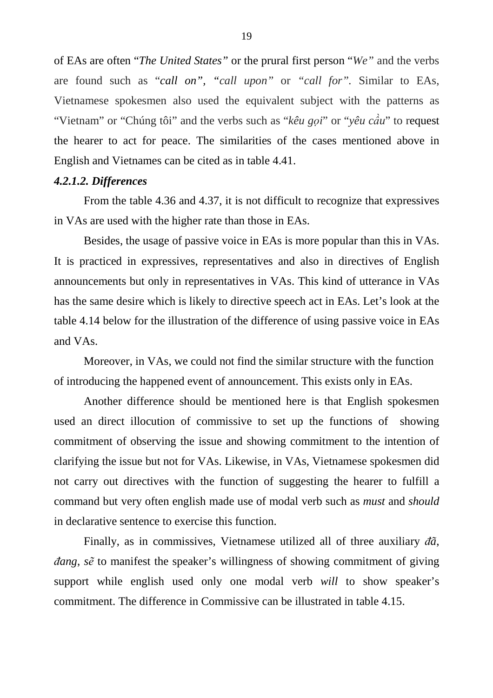of EAs are often "*The United States"* or the prural first person "*We"* and the verbs are found such as "*call on", "call upon"* or *"call for".* Similar to EAs, Vietnamese spokesmen also used the equivalent subject with the patterns as "Vietnam" or "Chúng tôi" and the verbs such as "*kêu gọi*" or "*yêu cầu*" to request the hearer to act for peace. The similarities of the cases mentioned above in English and Vietnames can be cited as in table 4.41.

### *4.2.1.2. Differences*

 From the table 4.36 and 4.37, it is not difficult to recognize that expressives in VAs are used with the higher rate than those in EAs.

 Besides, the usage of passive voice in EAs is more popular than this in VAs. It is practiced in expressives, representatives and also in directives of English announcements but only in representatives in VAs. This kind of utterance in VAs has the same desire which is likely to directive speech act in EAs. Let's look at the table 4.14 below for the illustration of the difference of using passive voice in EAs and VAs.

Moreover, in VAs, we could not find the similar structure with the function of introducing the happened event of announcement. This exists only in EAs.

Another difference should be mentioned here is that English spokesmen used an direct illocution of commissive to set up the functions of showing commitment of observing the issue and showing commitment to the intention of clarifying the issue but not for VAs. Likewise, in VAs, Vietnamese spokesmen did not carry out directives with the function of suggesting the hearer to fulfill a command but very often english made use of modal verb such as *must* and *should* in declarative sentence to exercise this function.

Finally, as in commissives, Vietnamese utilized all of three auxiliary *ñã*, *ñang*, *sẽ* to manifest the speaker's willingness of showing commitment of giving support while english used only one modal verb *will* to show speaker's commitment. The difference in Commissive can be illustrated in table 4.15.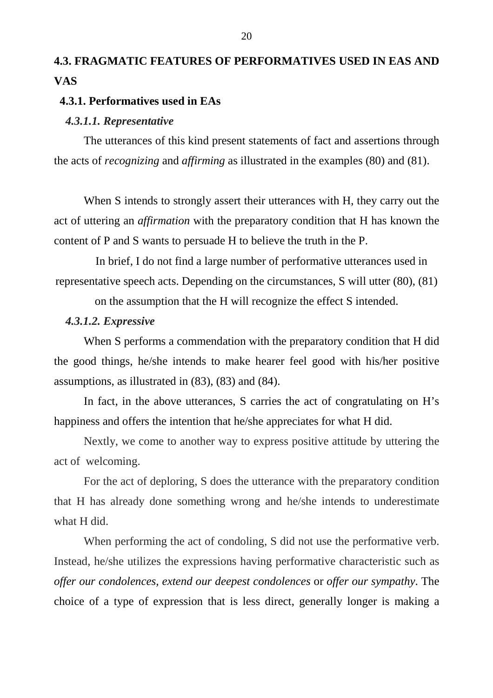# **4.3. FRAGMATIC FEATURES OF PERFORMATIVES USED IN EAS AND VAS**

### **4.3.1. Performatives used in EAs**

#### *4.3.1.1. Representative*

 The utterances of this kind present statements of fact and assertions through the acts of *recognizing* and *affirming* as illustrated in the examples (80) and (81).

 When S intends to strongly assert their utterances with H, they carry out the act of uttering an *affirmation* with the preparatory condition that H has known the content of P and S wants to persuade H to believe the truth in the P.

 In brief, I do not find a large number of performative utterances used in representative speech acts. Depending on the circumstances, S will utter (80), (81)

on the assumption that the H will recognize the effect S intended.

### *4.3.1.2. Expressive*

 When S performs a commendation with the preparatory condition that H did the good things, he/she intends to make hearer feel good with his/her positive assumptions, as illustrated in (83), (83) and (84).

 In fact, in the above utterances, S carries the act of congratulating on H's happiness and offers the intention that he/she appreciates for what H did.

Nextly, we come to another way to express positive attitude by uttering the act of welcoming.

 For the act of deploring, S does the utterance with the preparatory condition that H has already done something wrong and he/she intends to underestimate what H did.

 When performing the act of condoling, S did not use the performative verb. Instead, he/she utilizes the expressions having performative characteristic such as *offer our condolences, extend our deepest condolences* or *offer our sympathy*. The choice of a type of expression that is less direct, generally longer is making a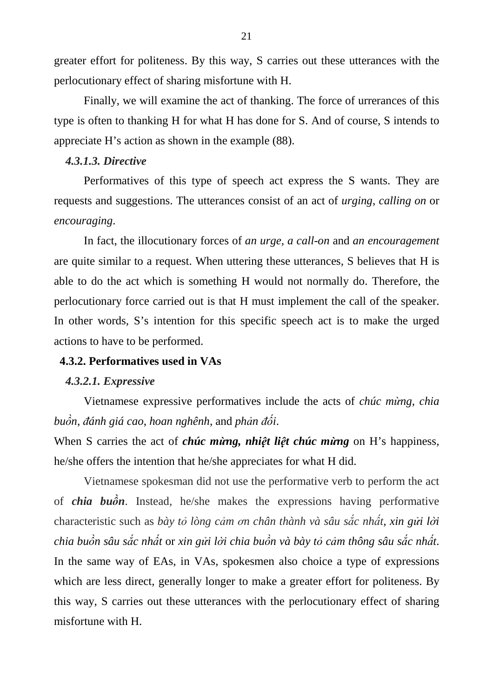greater effort for politeness. By this way, S carries out these utterances with the perlocutionary effect of sharing misfortune with H.

Finally, we will examine the act of thanking. The force of urrerances of this type is often to thanking H for what H has done for S. And of course, S intends to appreciate H's action as shown in the example (88).

### *4.3.1.3. Directive*

 Performatives of this type of speech act express the S wants. They are requests and suggestions. The utterances consist of an act of *urging*, *calling on* or *encouraging*.

 In fact, the illocutionary forces of *an urge, a call-on* and *an encouragement*  are quite similar to a request. When uttering these utterances, S believes that H is able to do the act which is something H would not normally do. Therefore, the perlocutionary force carried out is that H must implement the call of the speaker. In other words, S's intention for this specific speech act is to make the urged actions to have to be performed.

### **4.3.2. Performatives used in VAs**

### *4.3.2.1. Expressive*

 Vietnamese expressive performatives include the acts of *chúc mừng*, *chia buồn*, *ñánh giá cao*, *hoan nghênh*, and *phản ñối*.

When S carries the act of *chúc mừng, nhiệt liệt chúc mừng* on H's happiness, he/she offers the intention that he/she appreciates for what H did.

 Vietnamese spokesman did not use the performative verb to perform the act of *chia buồn*. Instead, he/she makes the expressions having performative characteristic such as *bày tỏ lòng cảm ơn chân thành và sâu sắc nhất, xin gửi lời*  chia buồn sâu sắc nhất or xin gửi lời chia buồn và bày tỏ cảm thông sâu sắc nhất. In the same way of EAs, in VAs, spokesmen also choice a type of expressions which are less direct, generally longer to make a greater effort for politeness. By this way, S carries out these utterances with the perlocutionary effect of sharing misfortune with H.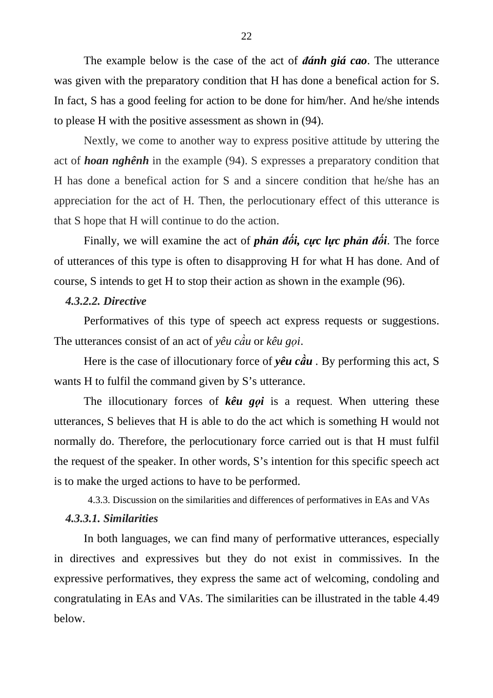The example below is the case of the act of *ñánh giá cao*. The utterance was given with the preparatory condition that H has done a benefical action for S. In fact, S has a good feeling for action to be done for him/her. And he/she intends to please H with the positive assessment as shown in (94).

Nextly, we come to another way to express positive attitude by uttering the act of *hoan nghênh* in the example (94). S expresses a preparatory condition that H has done a benefical action for S and a sincere condition that he/she has an appreciation for the act of H. Then, the perlocutionary effect of this utterance is that S hope that H will continue to do the action.

Finally, we will examine the act of *phản ñối, cực lực phản ñối*. The force of utterances of this type is often to disapproving H for what H has done. And of course, S intends to get H to stop their action as shown in the example (96).

### *4.3.2.2. Directive*

 Performatives of this type of speech act express requests or suggestions. The utterances consist of an act of *yêu cầu* or *kêu gọi*.

Here is the case of illocutionary force of *yêu cầu .* By performing this act, S wants H to fulfil the command given by S's utterance.

The illocutionary forces of *kêu gọi* is a request. When uttering these utterances, S believes that H is able to do the act which is something H would not normally do. Therefore, the perlocutionary force carried out is that H must fulfil the request of the speaker. In other words, S's intention for this specific speech act is to make the urged actions to have to be performed.

4.3.3. Discussion on the similarities and differences of performatives in EAs and VAs

#### *4.3.3.1. Similarities*

 In both languages, we can find many of performative utterances, especially in directives and expressives but they do not exist in commissives. In the expressive performatives, they express the same act of welcoming, condoling and congratulating in EAs and VAs. The similarities can be illustrated in the table 4.49 below.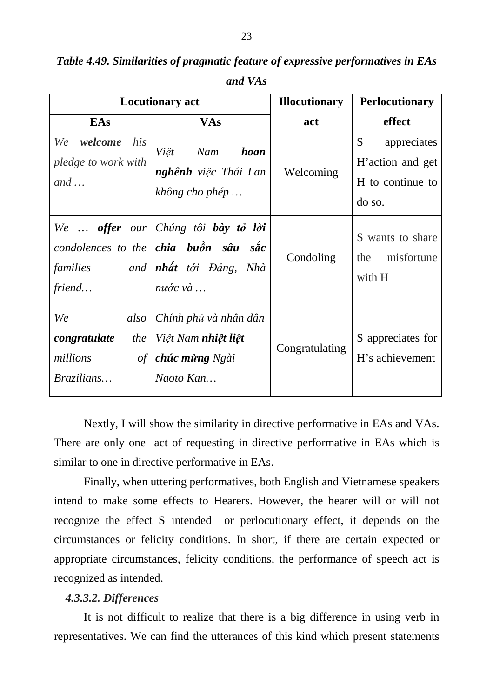| <b>Locutionary act</b>                                            |                                                                                                                               | <b>Illocutionary</b> | <b>Perlocutionary</b>                                              |
|-------------------------------------------------------------------|-------------------------------------------------------------------------------------------------------------------------------|----------------------|--------------------------------------------------------------------|
| EAs                                                               | <b>VAs</b>                                                                                                                    | act                  | effect                                                             |
| his<br>We<br>welcome<br>pledge to work with<br>$and \dots$        | Việt Nam<br><b>hoan</b><br>nghênh việc Thái Lan<br>không cho phép                                                             | Welcoming            | S<br>appreciates<br>H'action and get<br>H to continue to<br>do so. |
| families<br>friend                                                | We  offer our Chúng tôi bày tỏ lời<br>condolences to the <b>chia</b> buôn sâu sắc<br>and <b>nhất</b> tới Đảng, Nhà<br>nước và | Condoling            | S wants to share<br>misfortune<br>the<br>with H                    |
| We<br>also<br>congratulate<br>the<br>millions<br>of<br>Brazilians | Chính phủ và nhân dân<br>  Việt Nam <b>nhiệt liệt</b><br>chúc mừng Ngài<br>Naoto Kan                                          | Congratulating       | S appreciates for<br>H's achievement                               |

*Table 4.49. Similarities of pragmatic feature of expressive performatives in EAs* 

*and VAs* 

 Nextly, I will show the similarity in directive performative in EAs and VAs. There are only one act of requesting in directive performative in EAs which is similar to one in directive performative in EAs.

 Finally, when uttering performatives, both English and Vietnamese speakers intend to make some effects to Hearers. However, the hearer will or will not recognize the effect S intended or perlocutionary effect, it depends on the circumstances or felicity conditions. In short, if there are certain expected or appropriate circumstances, felicity conditions, the performance of speech act is recognized as intended.

### *4.3.3.2. Differences*

It is not difficult to realize that there is a big difference in using verb in representatives. We can find the utterances of this kind which present statements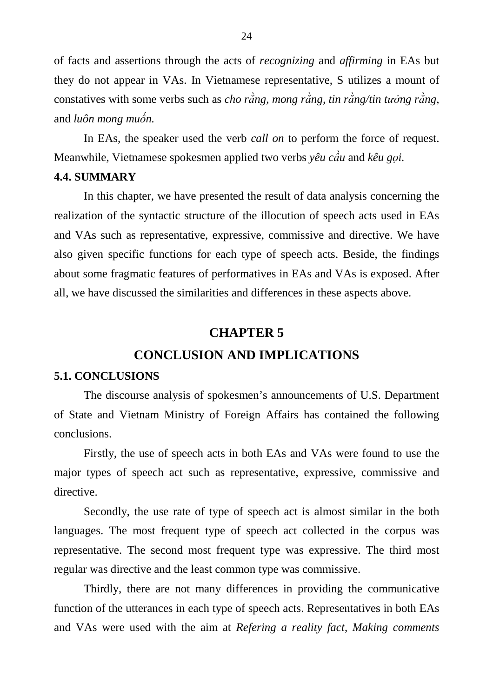of facts and assertions through the acts of *recognizing* and *affirming* in EAs but they do not appear in VAs. In Vietnamese representative, S utilizes a mount of constatives with some verbs such as *cho rằng, mong rằng, tin rằng/tin tưởng rằng,*  and *luôn mong muốn.*

In EAs, the speaker used the verb *call on* to perform the force of request. Meanwhile, Vietnamese spokesmen applied two verbs *yêu cầu* and *kêu gọi.* 

### **4.4. SUMMARY**

 In this chapter, we have presented the result of data analysis concerning the realization of the syntactic structure of the illocution of speech acts used in EAs and VAs such as representative, expressive, commissive and directive. We have also given specific functions for each type of speech acts. Beside, the findings about some fragmatic features of performatives in EAs and VAs is exposed. After all, we have discussed the similarities and differences in these aspects above.

## **CHAPTER 5**

## **CONCLUSION AND IMPLICATIONS**

### **5.1. CONCLUSIONS**

 The discourse analysis of spokesmen's announcements of U.S. Department of State and Vietnam Ministry of Foreign Affairs has contained the following conclusions.

 Firstly, the use of speech acts in both EAs and VAs were found to use the major types of speech act such as representative, expressive, commissive and directive.

 Secondly, the use rate of type of speech act is almost similar in the both languages. The most frequent type of speech act collected in the corpus was representative. The second most frequent type was expressive. The third most regular was directive and the least common type was commissive.

 Thirdly, there are not many differences in providing the communicative function of the utterances in each type of speech acts. Representatives in both EAs and VAs were used with the aim at *Refering a reality fact*, *Making comments*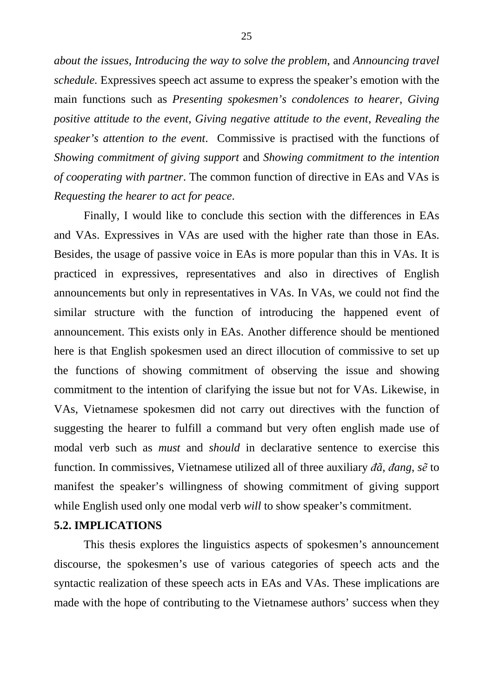*about the issues, Introducing the way to solve the problem*, and *Announcing travel schedule.* Expressives speech act assume to express the speaker's emotion with the main functions such as *Presenting spokesmen's condolences to hearer*, *Giving positive attitude to the event*, *Giving negative attitude to the event*, *Revealing the speaker's attention to the event*. Commissive is practised with the functions of *Showing commitment of giving support* and *Showing commitment to the intention of cooperating with partner*. The common function of directive in EAs and VAs is *Requesting the hearer to act for peace*.

 Finally, I would like to conclude this section with the differences in EAs and VAs. Expressives in VAs are used with the higher rate than those in EAs. Besides, the usage of passive voice in EAs is more popular than this in VAs. It is practiced in expressives, representatives and also in directives of English announcements but only in representatives in VAs. In VAs, we could not find the similar structure with the function of introducing the happened event of announcement. This exists only in EAs. Another difference should be mentioned here is that English spokesmen used an direct illocution of commissive to set up the functions of showing commitment of observing the issue and showing commitment to the intention of clarifying the issue but not for VAs. Likewise, in VAs, Vietnamese spokesmen did not carry out directives with the function of suggesting the hearer to fulfill a command but very often english made use of modal verb such as *must* and *should* in declarative sentence to exercise this function. In commissives, Vietnamese utilized all of three auxiliary *ñã*, *ñang*, *sẽ* to manifest the speaker's willingness of showing commitment of giving support while English used only one modal verb *will* to show speaker's commitment.

### **5.2. IMPLICATIONS**

This thesis explores the linguistics aspects of spokesmen's announcement discourse, the spokesmen's use of various categories of speech acts and the syntactic realization of these speech acts in EAs and VAs. These implications are made with the hope of contributing to the Vietnamese authors' success when they